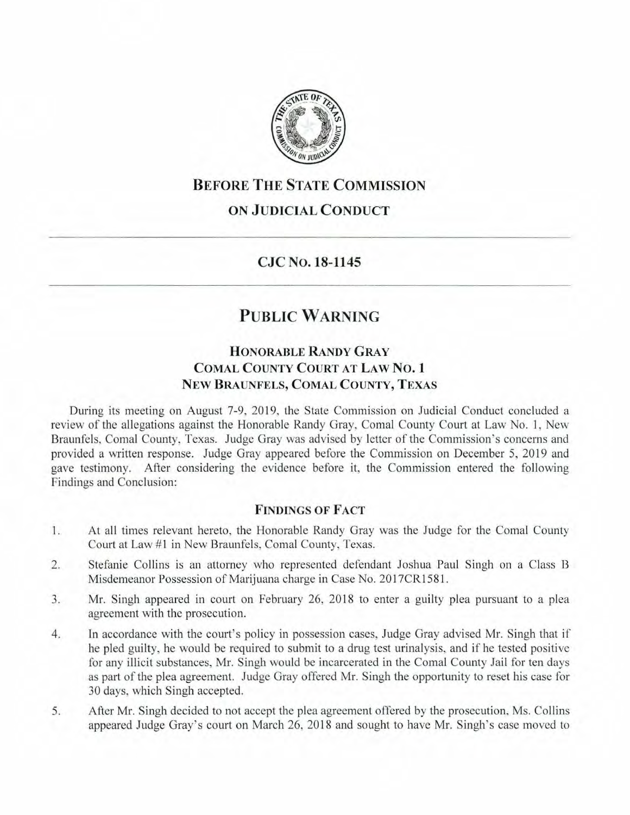

## **BEFORE THE STATE COMMISSION**

### **ON JUDICIAL CONDUCT**

#### **CJC No. 18-1145**

# **PUBLIC WARNING**

### **HONORABLE RANDY GRAY COMAL COUNTY COURT AT LAW NO. 1 NEW BRAUNFELS, COMAL COUNTY, TEXAS**

During its meeting on August 7-9, 2019, the State Commission on Judicial Conduct concluded a review of the allegations against the Honorable Randy Gray, Comal County Court at Law No. I, New Braunfels, Comal County, Texas. Judge Gray was advised by letter of the Commission's concerns and provided a written response. Judge Gray appeared before the Commission on December 5, 2019 and gave testimony. After considering the evidence before it, the Commission entered the following Findings and Conclusion:

#### **FINDINGS OF FACT**

- 1. At all times relevant hereto, the Honorable Randy Gray was the Judge for the Comal County Court at Law #1 in New Braunfels, Comal County, Texas.
- 2. Stefanie Collins is an attorney who represented defendant Joshua Paul Singh on a Class B Misdemeanor Possession of Marijuana charge in Case No. 2017CR1581.
- 3. Mr. Singh appeared in court on February 26, 2018 to enter a guilty plea pursuant to a plea agreement with the prosecution.
- 4. Jn accordance with the court's policy in possession cases, Judge Gray advised Mr. Singh that if he pied guilty, he would be required to submit to a drug test urinalysis, and if he tested positive for any illicit substances, Mr. Singh would be incarcerated in the Comal County Jail for ten days as part of the plea agreement. Judge Gray offered Mr. Singh the opportunity to reset his case for 30 days, which Singh accepted.
- 5. After Mr. Singh decided to not accept the plea agreement offered by the prosecution, Ms. Collins appeared Judge Gray's court on March 26, 2018 and sought to have Mr. Singh's case moved to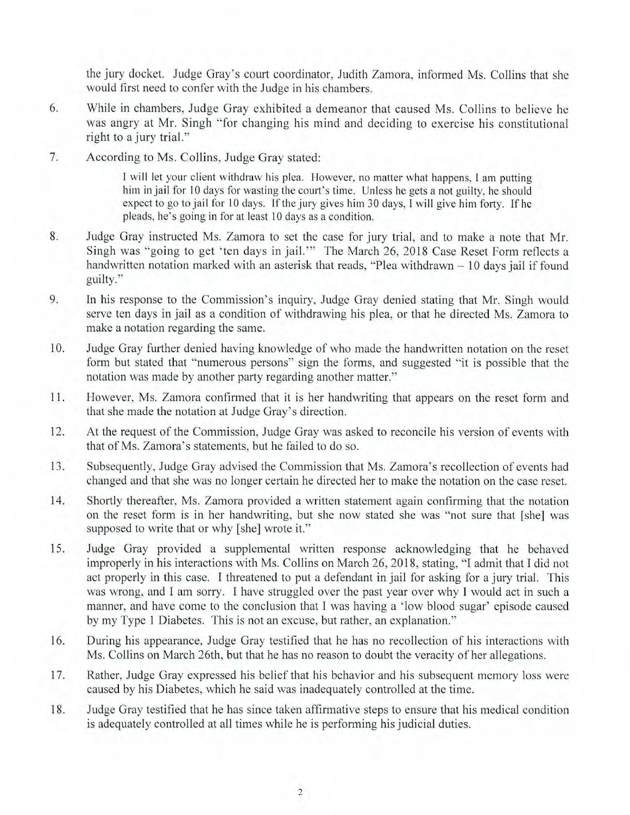the jury docket. Judge Gray's court coordinator, Judith Zamora, informed Ms. Collins that she would first need to confer with the Judge in his chambers.

- 6. While in chambers, Judge Gray exhibited a demeanor that caused Ms. Collins to believe he was angry at Mr. Singh "for changing his mind and deciding to exercise his constitutional right to a jury trial."
- 7. According to Ms. Collins, Judge Gray stated:

I will let your client withdraw his plea. However, no matter what happens, I am putting him in jail for 10 days for wasting the court's time. Unless he gets a not guilty, he should expect to go to jail for 10 days. If the jury gives him 30 days, I will give him forty. If he pleads, he's going in for at least 10 days as a condition.

- 8. Judge Gray instructed Ms. Zamora to set the case for jury trial, and to make a note that Mr. Singh was "going to get 'ten days in jail."" The March 26, 2018 Case Reset Form reflects a handwritten notation marked with an asterisk that reads, "Plea withdrawn - 10 days jail if found guilty."
- 9. In his response to the Commission's inquiry, Judge Gray denied stating that Mr. Singh would serve ten days in jail as a condition of withdrawing his plea, or that he directed Ms. Zamora to make a notation regarding the same.
- 10. Judge Gray further denied having knowledge of who made the handwritten notation on the reset form but stated that "numerous persons" sign the forms, and suggested "it is possible that the notation was made by another party regarding another matter."
- 11. However, Ms. Zamora confirmed that it is her handwriting that appears on the reset form and that she made the notation at Judge Gray's direction.
- 12. At the request of the Commission, Judge Gray was asked to reconcile his version of events with that of Ms. Zamora's statements, but he failed to do so.
- 13. Subsequently, Judge Gray advised the Commission that Ms. Zamora's recollection of events had changed and that she was no longer certain he directed her to make the notation on the case reset.
- 14. Shortly thereafter, Ms. Zamora provided a written statement again confirming that the notation on the reset form is in her handwriting, but she now stated she was "not sure that [she] was supposed to write that or why [she] wrote it."
- 15. Judge Gray provided a supplemental written response acknowledging that he behaved improperly in his interactions with Ms. Collins on March 26, 2018, stating, "I admit that I did not act properly in this case. I threatened to put a defendant in jail for asking for a jury trial. This was wrong, and I am sorry. I have struggled over the past year over why I would act in such a manner, and have come to the conclusion that I was having a 'low blood sugar' episode caused by my Type 1 Diabetes. This is not an excuse, but rather, an explanation."
- 16. During his appearance, Judge Gray testified that he has no recollection of his interactions with Ms. Collins on March 26th, but that he has no reason to doubt the veracity of her allegations.
- 17. Rather, Judge Gray expressed his belief that his behavior and his subsequent memory loss were caused by his Diabetes, which he said was inadequately controlled at the time.
- 18. Judge Gray testified that he has since taken affirmative steps to ensure that his medical condition is adequately controlled at all times while he is performing his judicial duties.